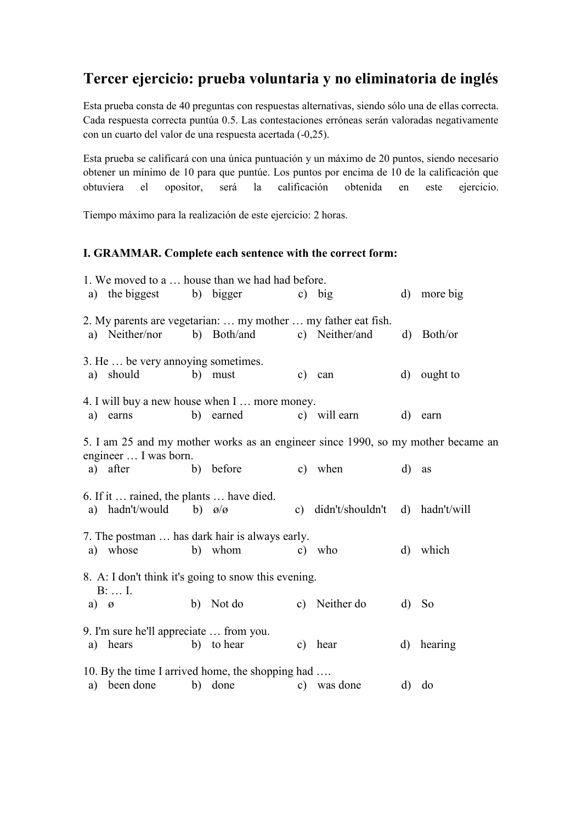### **Tercer ejercicio: prueba voluntaria y no eliminatoria de inglés**

Esta prueba consta de 40 preguntas con respuestas alternativas, siendo sólo una de ellas correcta. Cada respuesta correcta puntúa 0.5. Las contestaciones erróneas serán valoradas negativamente con un cuarto del valor de una respuesta acertada (-0,25).

Esta prueba se calificará con una única puntuación y un máximo de 20 puntos, siendo necesario obtener un mínimo de 10 para que puntúe. Los puntos por encima de 10 de la calificación que obtuviera el opositor, será la calificación obtenida en este ejercicio.

Tiempo máximo para la realización de este ejercicio: 2 horas.

### **I. GRAMMAR. Complete each sentence with the correct form:**

| 1. We moved to a  house than we had had before.                         |                                                          |  |                                                                                               |               |                                 |              |              |  |  |
|-------------------------------------------------------------------------|----------------------------------------------------------|--|-----------------------------------------------------------------------------------------------|---------------|---------------------------------|--------------|--------------|--|--|
|                                                                         | a) the biggest b) bigger                                 |  |                                                                                               |               | c) big                          |              | d) more big  |  |  |
|                                                                         | a) Neither/nor                                           |  | 2. My parents are vegetarian:  my mother  my father eat fish.<br>b) Both/and                  |               | c) Neither/and                  |              | $d)$ Both/or |  |  |
| a)                                                                      | 3. He  be very annoying sometimes.<br>should             |  | b) must                                                                                       | $\mathbf{c})$ | can                             |              | d) ought to  |  |  |
| a)                                                                      | earns                                                    |  | 4. I will buy a new house when I  more money.<br>b) earned                                    |               | c) will earn                    | $\mathbf{d}$ | earn         |  |  |
|                                                                         | engineer  I was born.<br>a) after                        |  | 5. I am 25 and my mother works as an engineer since 1990, so my mother became an<br>b) before |               | c) when                         | d)           | as           |  |  |
| a)                                                                      | 6. If it  rained, the plants  have died.<br>hadn't/would |  | b) $\alpha/\alpha$                                                                            | $\mathbf{c})$ | didn't/shouldn't d) hadn't/will |              |              |  |  |
|                                                                         | a) whose                                                 |  | 7. The postman  has dark hair is always early.<br>b) whom                                     | $\mathbf{c})$ | who                             | $\mathbf{d}$ | which        |  |  |
| 8. A: I don't think it's going to snow this evening.<br>$B: \ldots I$ . |                                                          |  |                                                                                               |               |                                 |              |              |  |  |
| a) $\varnothing$                                                        |                                                          |  | b) Not do                                                                                     |               | c) Neither do                   | $\mathbf{d}$ | <b>So</b>    |  |  |
| a)                                                                      | 9. I'm sure he'll appreciate  from you.<br>hears         |  | b) to hear                                                                                    |               | c) hear                         |              | d) hearing   |  |  |
|                                                                         | a) been done                                             |  | 10. By the time I arrived home, the shopping had<br>b) done                                   |               | c) was done                     |              | d) do        |  |  |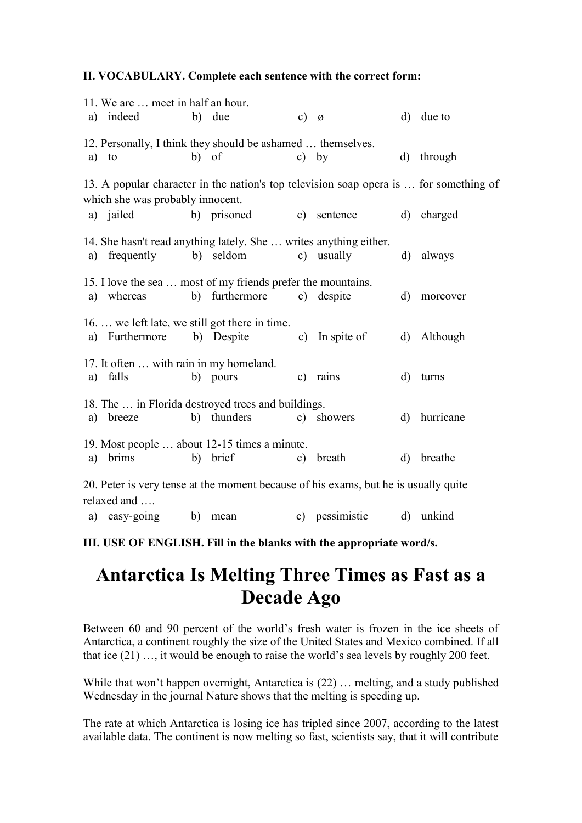#### **II. VOCABULARY. Complete each sentence with the correct form:**

| a)                                                                                                                         | 11. We are  meet in half an hour.<br>indeed                                     |       | b) due         | c) $\varnothing$ |                |              | d) due to  |  |  |
|----------------------------------------------------------------------------------------------------------------------------|---------------------------------------------------------------------------------|-------|----------------|------------------|----------------|--------------|------------|--|--|
| a)                                                                                                                         | 12. Personally, I think they should be ashamed  themselves.<br>to               | b) of |                | $\mathbf{c}$ )   | by             |              | d) through |  |  |
| 13. A popular character in the nation's top television soap opera is  for something of<br>which she was probably innocent. |                                                                                 |       |                |                  |                |              |            |  |  |
|                                                                                                                            | a) jailed                                                                       |       | b) prisoned    |                  | c) sentence    |              | d) charged |  |  |
| a)                                                                                                                         | 14. She hasn't read anything lately. She  writes anything either.<br>frequently |       | b) seldom      |                  | c) usually     |              | d) always  |  |  |
| a)                                                                                                                         | 15. I love the sea  most of my friends prefer the mountains.<br>whereas         |       | b) furthermore |                  | c) despite     | d)           | moreover   |  |  |
|                                                                                                                            | 16.  we left late, we still got there in time.<br>a) Furthermore b) Despite     |       |                |                  | c) In spite of | $\mathbf{d}$ | Although   |  |  |
| a)                                                                                                                         | 17. It often  with rain in my homeland.<br>falls                                |       | b) pours       |                  | c) rains       | $\rm d)$     | turns      |  |  |
| a)                                                                                                                         | 18. The  in Florida destroyed trees and buildings.<br>breeze                    |       | b) thunders    |                  | c) showers     | $\mathbf{d}$ | hurricane  |  |  |
| a)                                                                                                                         | 19. Most people  about 12-15 times a minute.<br>brims                           |       | b) brief       | $\mathbf{c})$    | breath         | $\mathbf{d}$ | breathe    |  |  |
| 20. Peter is very tense at the moment because of his exams, but he is usually quite<br>relaxed and                         |                                                                                 |       |                |                  |                |              |            |  |  |

a) easy-going b) mean c) pessimistic d) unkind

**III. USE OF ENGLISH. Fill in the blanks with the appropriate word/s.**

# **Antarctica Is Melting Three Times as Fast as a Decade Ago**

Between 60 and 90 percent of the world's fresh water is frozen in the ice sheets of Antarctica, a continent roughly the size of the United States and Mexico combined. If all that ice (21) …, it would be enough to raise the world's sea levels by roughly 200 feet.

While that won't happen overnight, Antarctica is (22) … melting, and a study published Wednesday in the journal Nature shows that the melting is speeding up.

The rate at which Antarctica is losing ice has tripled since 2007, according to the latest available data. The continent is now melting so fast, scientists say, that it will contribute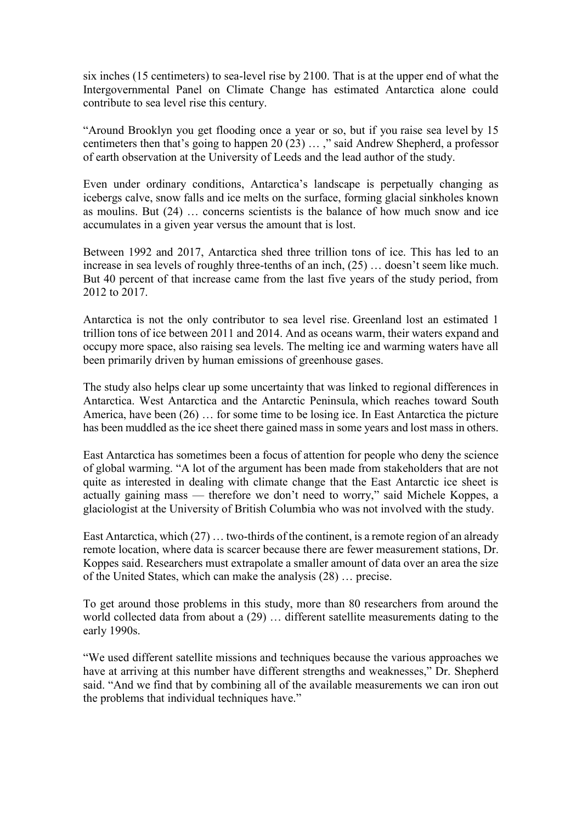six inches (15 centimeters) to sea-level rise by 2100. That is at the upper end of what the Intergovernmental Panel on Climate Change has estimated Antarctica alone could contribute to sea level rise this century.

"Around Brooklyn you get flooding once a year or so, but if you raise sea level by 15 centimeters then that's going to happen 20 (23) … ," said Andrew Shepherd, a professor of earth observation at the University of Leeds and the lead author of the study.

Even under ordinary conditions, Antarctica's landscape is perpetually changing as icebergs calve, snow falls and ice melts on the surface, forming glacial sinkholes known as moulins. But (24) … concerns scientists is the balance of how much snow and ice accumulates in a given year versus the amount that is lost.

Between 1992 and 2017, Antarctica shed three trillion tons of ice. This has led to an increase in sea levels of roughly three-tenths of an inch, (25) … doesn't seem like much. But 40 percent of that increase came from the last five years of the study period, from 2012 to 2017.

Antarctica is not the only contributor to sea level rise. Greenland lost an estimated 1 trillion tons of ice between 2011 and 2014. And as oceans warm, their waters expand and occupy more space, also raising sea levels. The melting ice and warming waters have all been primarily driven by human emissions of greenhouse gases.

The study also helps clear up some uncertainty that was linked to regional differences in Antarctica. West Antarctica and the Antarctic Peninsula, which reaches toward South America, have been (26) … for some time to be losing ice. In East Antarctica the picture has been muddled as the ice sheet there gained mass in some years and lost mass in others.

East Antarctica has sometimes been a focus of attention for people who deny the science of global warming. "A lot of the argument has been made from stakeholders that are not quite as interested in dealing with climate change that the East Antarctic ice sheet is actually gaining mass — therefore we don't need to worry," said Michele Koppes, a glaciologist at the University of British Columbia who was not involved with the study.

East Antarctica, which (27) … two-thirds of the continent, is a remote region of an already remote location, where data is scarcer because there are fewer measurement stations, Dr. Koppes said. Researchers must extrapolate a smaller amount of data over an area the size of the United States, which can make the analysis (28) … precise.

To get around those problems in this study, more than 80 researchers from around the world collected data from about a (29) … different satellite measurements dating to the early 1990s.

"We used different satellite missions and techniques because the various approaches we have at arriving at this number have different strengths and weaknesses," Dr. Shepherd said. "And we find that by combining all of the available measurements we can iron out the problems that individual techniques have."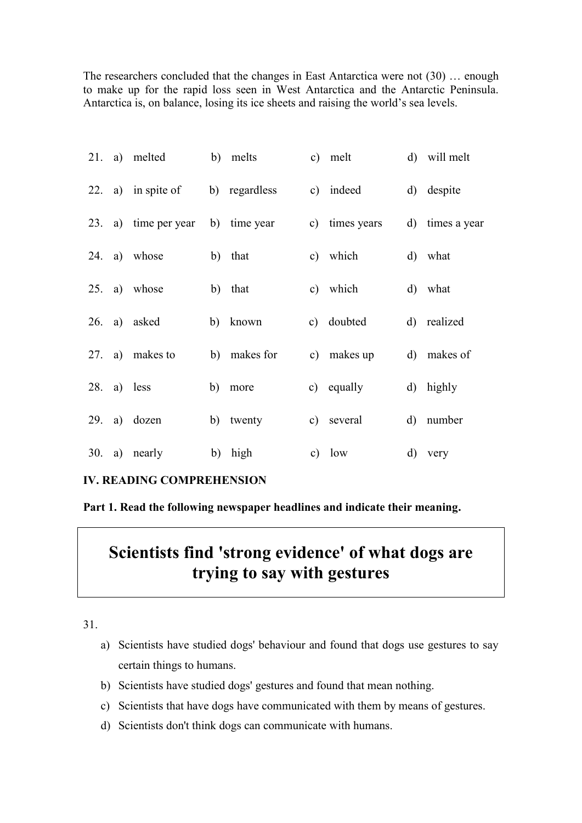The researchers concluded that the changes in East Antarctica were not (30) … enough to make up for the rapid loss seen in West Antarctica and the Antarctic Peninsula. Antarctica is, on balance, losing its ice sheets and raising the world's sea levels.

|     |    | 21. a) melted      | b) melts      | c) melt        | d) will melt    |
|-----|----|--------------------|---------------|----------------|-----------------|
|     |    | 22. a) in spite of | b) regardless | c) indeed      | d) despite      |
| 23. |    | a) time per year   | b) time year  | c) times years | d) times a year |
|     |    | 24. a) whose       | b) that       | c) which       | d) what         |
|     |    | 25. a) whose       | b) that       | c) which       | d) what         |
|     |    | 26. a) asked       | b) known      | c) doubted     | d) realized     |
| 27. |    | a) makes to        | b) makes for  | c) makes up    | d) makes of     |
| 28. |    | a) less            | b) more       | c) equally     | d) highly       |
| 29. |    | a) dozen           | b) twenty     | c) several     | d) number       |
| 30. | a) | nearly             | b) high       | c) $low$       | d) very         |

### **IV. READING COMPREHENSION**

**Part 1. Read the following newspaper headlines and indicate their meaning.**

## **Scientists find 'strong evidence' of what dogs are trying to say with gestures**

31.

- a) Scientists have studied dogs' behaviour and found that dogs use gestures to say certain things to humans.
- b) Scientists have studied dogs' gestures and found that mean nothing.
- c) Scientists that have dogs have communicated with them by means of gestures.
- d) Scientists don't think dogs can communicate with humans.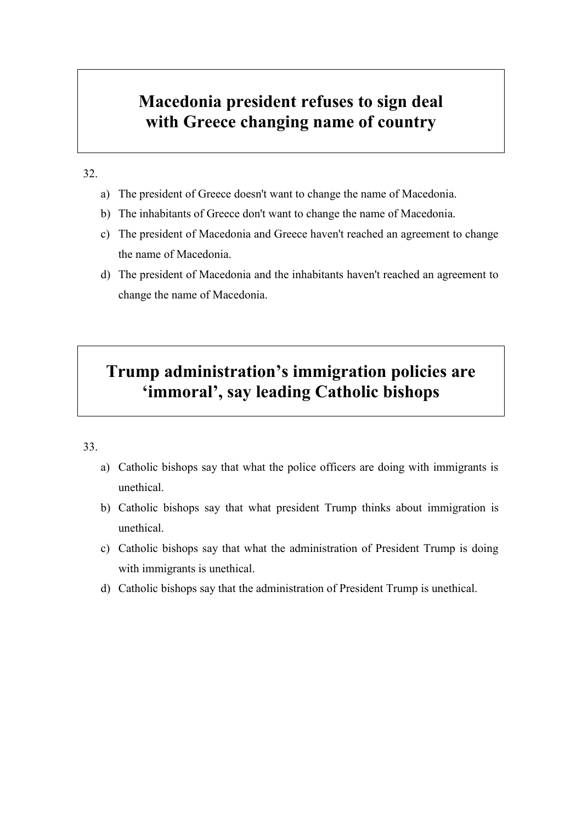### **Macedonia president refuses to sign deal with Greece changing name of country**

### 32.

- a) The president of Greece doesn't want to change the name of Macedonia.
- b) The inhabitants of Greece don't want to change the name of Macedonia.
- c) The president of Macedonia and Greece haven't reached an agreement to change the name of Macedonia.
- d) The president of Macedonia and the inhabitants haven't reached an agreement to change the name of Macedonia.

## **Trump administration's immigration policies are 'immoral', say leading Catholic bishops**

### 33.

- a) Catholic bishops say that what the police officers are doing with immigrants is unethical.
- b) Catholic bishops say that what president Trump thinks about immigration is unethical.
- c) Catholic bishops say that what the administration of President Trump is doing with immigrants is unethical.
- d) Catholic bishops say that the administration of President Trump is unethical.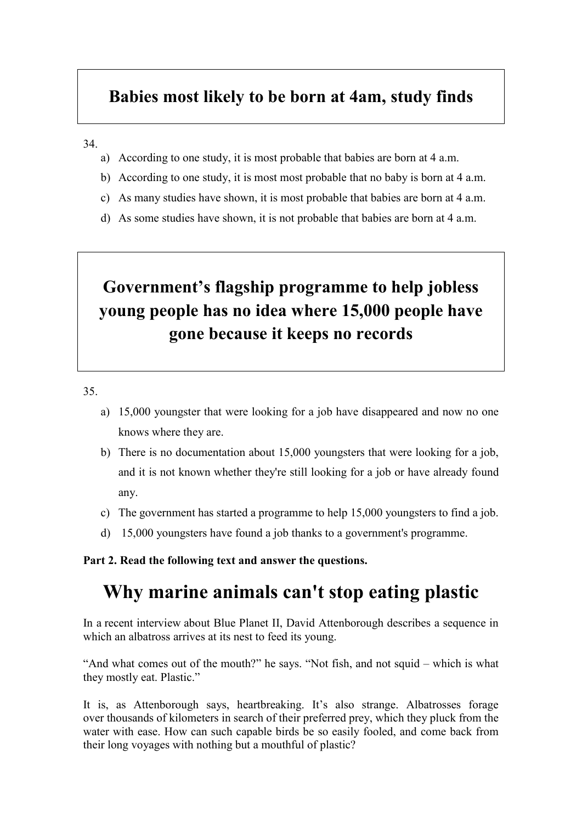### **Babies most likely to be born at 4am, study finds**

#### 34.

- a) According to one study, it is most probable that babies are born at 4 a.m.
- b) According to one study, it is most most probable that no baby is born at 4 a.m.
- c) As many studies have shown, it is most probable that babies are born at 4 a.m.
- d) As some studies have shown, it is not probable that babies are born at 4 a.m.

# **Government's flagship programme to help jobless young people has no idea where 15,000 people have gone because it keeps no records**

35.

- a) 15,000 youngster that were looking for a job have disappeared and now no one knows where they are.
- b) There is no documentation about 15,000 youngsters that were looking for a job, and it is not known whether they're still looking for a job or have already found any.
- c) The government has started a programme to help 15,000 youngsters to find a job.
- d) 15,000 youngsters have found a job thanks to a government's programme.

### **Part 2. Read the following text and answer the questions.**

## **Why marine animals can't stop eating plastic**

In a recent interview about Blue Planet II, David Attenborough describes a sequence in which an albatross arrives at its nest to feed its young.

"And what comes out of the mouth?" he says. "Not fish, and not squid – which is what they mostly eat. Plastic."

It is, as Attenborough says, heartbreaking. It's also strange. Albatrosses forage over thousands of kilometers in search of their preferred prey, which they pluck from the water with ease. How can such capable birds be so easily fooled, and come back from their long voyages with nothing but a mouthful of plastic?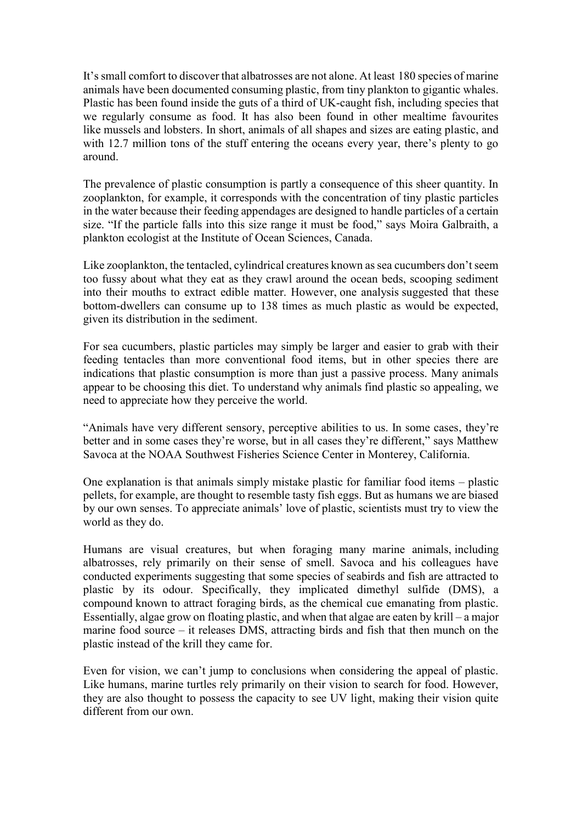It's small comfort to discover that albatrosses are not alone. At least 180 species of marine animals have been documented consuming plastic, from tiny plankton to gigantic whales. Plastic has been found inside the guts of a third of UK-caught fish, including species that we regularly consume as food. It has also been found in other mealtime favourites like mussels and lobsters. In short, animals of all shapes and sizes are eating plastic, and with 12.7 million tons of the stuff entering the oceans every year, there's plenty to go around.

The prevalence of plastic consumption is partly a consequence of this sheer quantity. In zooplankton, for example, it corresponds with the concentration of tiny plastic particles in the water because their feeding appendages are designed to handle particles of a certain size. "If the particle falls into this size range it must be food," says Moira Galbraith, a plankton ecologist at the Institute of Ocean Sciences, Canada.

Like zooplankton, the tentacled, cylindrical creatures known as sea cucumbers don't seem too fussy about what they eat as they crawl around the ocean beds, scooping sediment into their mouths to extract edible matter. However, one analysis suggested that these bottom-dwellers can consume up to 138 times as much plastic as would be expected, given its distribution in the sediment.

For sea cucumbers, plastic particles may simply be larger and easier to grab with their feeding tentacles than more conventional food items, but in other species there are indications that plastic consumption is more than just a passive process. Many animals appear to be choosing this diet. To understand why animals find plastic so appealing, we need to appreciate how they perceive the world.

"Animals have very different sensory, perceptive abilities to us. In some cases, they're better and in some cases they're worse, but in all cases they're different," says Matthew Savoca at the NOAA Southwest Fisheries Science Center in Monterey, California.

One explanation is that animals simply mistake plastic for familiar food items – plastic pellets, for example, are thought to resemble tasty fish eggs. But as humans we are biased by our own senses. To appreciate animals' love of plastic, scientists must try to view the world as they do.

Humans are visual creatures, but when foraging many marine animals, including albatrosses, rely primarily on their sense of smell. Savoca and his colleagues have conducted experiments suggesting that some species of seabirds and fish are attracted to plastic by its odour. Specifically, they implicated dimethyl sulfide (DMS), a compound known to attract foraging birds, as the chemical cue emanating from plastic. Essentially, algae grow on floating plastic, and when that algae are eaten by krill – a major marine food source – it releases DMS, attracting birds and fish that then munch on the plastic instead of the krill they came for.

Even for vision, we can't jump to conclusions when considering the appeal of plastic. Like humans, marine turtles rely primarily on their vision to search for food. However, they are also thought to possess the capacity to see UV light, making their vision quite different from our own.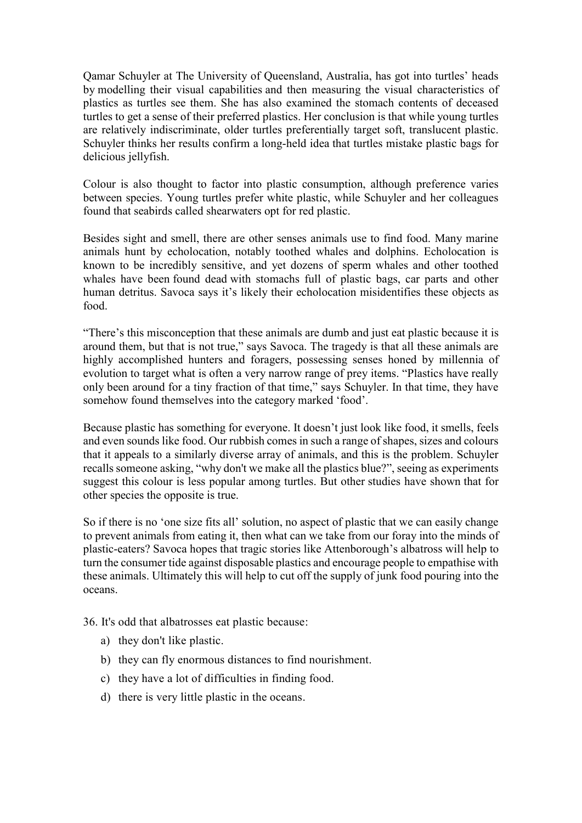Qamar Schuyler at The University of Queensland, Australia, has got into turtles' heads by modelling their visual capabilities and then measuring the visual characteristics of plastics as turtles see them. She has also examined the stomach contents of deceased turtles to get a sense of their preferred plastics. Her conclusion is that while young turtles are relatively indiscriminate, older turtles preferentially target soft, translucent plastic. Schuyler thinks her results confirm a long-held idea that turtles mistake plastic bags for delicious jellyfish.

Colour is also thought to factor into plastic consumption, although preference varies between species. Young turtles prefer white plastic, while Schuyler and her colleagues found that seabirds called shearwaters opt for red plastic.

Besides sight and smell, there are other senses animals use to find food. Many marine animals hunt by echolocation, notably toothed whales and dolphins. Echolocation is known to be incredibly sensitive, and yet dozens of sperm whales and other toothed whales have been found dead with stomachs full of plastic bags, car parts and other human detritus. Savoca says it's likely their echolocation misidentifies these objects as food.

"There's this misconception that these animals are dumb and just eat plastic because it is around them, but that is not true," says Savoca. The tragedy is that all these animals are highly accomplished hunters and foragers, possessing senses honed by millennia of evolution to target what is often a very narrow range of prey items. "Plastics have really only been around for a tiny fraction of that time," says Schuyler. In that time, they have somehow found themselves into the category marked 'food'.

Because plastic has something for everyone. It doesn't just look like food, it smells, feels and even sounds like food. Our rubbish comes in such a range of shapes, sizes and colours that it appeals to a similarly diverse array of animals, and this is the problem. Schuyler recalls someone asking, "why don't we make all the plastics blue?", seeing as experiments suggest this colour is less popular among turtles. But other studies have shown that for other species the opposite is true.

So if there is no 'one size fits all' solution, no aspect of plastic that we can easily change to prevent animals from eating it, then what can we take from our foray into the minds of plastic-eaters? Savoca hopes that tragic stories like Attenborough's albatross will help to turn the consumer tide against disposable plastics and encourage people to empathise with these animals. Ultimately this will help to cut off the supply of junk food pouring into the oceans.

36. It's odd that albatrosses eat plastic because:

- a) they don't like plastic.
- b) they can fly enormous distances to find nourishment.
- c) they have a lot of difficulties in finding food.
- d) there is very little plastic in the oceans.